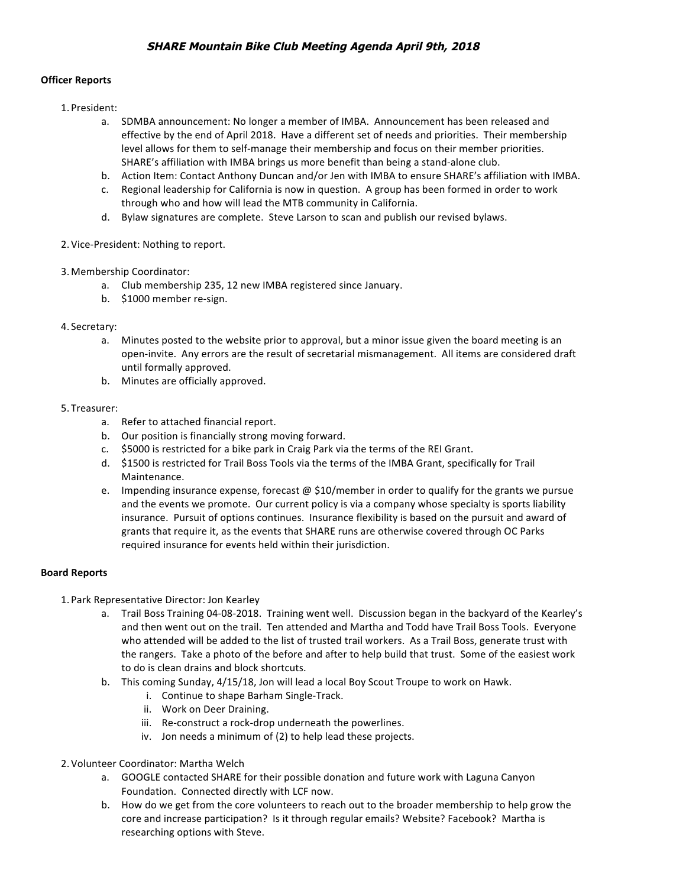### **Officer Reports**

- 1. President:
	- a. SDMBA announcement: No longer a member of IMBA. Announcement has been released and effective by the end of April 2018. Have a different set of needs and priorities. Their membership level allows for them to self-manage their membership and focus on their member priorities. SHARE's affiliation with IMBA brings us more benefit than being a stand-alone club.
	- b. Action Item: Contact Anthony Duncan and/or Jen with IMBA to ensure SHARE's affiliation with IMBA.
	- c. Regional leadership for California is now in question. A group has been formed in order to work through who and how will lead the MTB community in California.
	- d. Bylaw signatures are complete. Steve Larson to scan and publish our revised bylaws.
- 2. Vice-President: Nothing to report.
- 3. Membership Coordinator:
	- a. Club membership 235, 12 new IMBA registered since January.
	- b. \$1000 member re-sign.

## 4. Secretary:

- a. Minutes posted to the website prior to approval, but a minor issue given the board meeting is an open-invite. Any errors are the result of secretarial mismanagement. All items are considered draft until formally approved.
- b. Minutes are officially approved.

#### 5. Treasurer:

- a. Refer to attached financial report.
- b. Our position is financially strong moving forward.
- c. \$5000 is restricted for a bike park in Craig Park via the terms of the REI Grant.
- d. \$1500 is restricted for Trail Boss Tools via the terms of the IMBA Grant, specifically for Trail Maintenance.
- e. Impending insurance expense, forecast @ \$10/member in order to qualify for the grants we pursue and the events we promote. Our current policy is via a company whose specialty is sports liability insurance. Pursuit of options continues. Insurance flexibility is based on the pursuit and award of grants that require it, as the events that SHARE runs are otherwise covered through OC Parks required insurance for events held within their jurisdiction.

# **Board Reports**

- 1. Park Representative Director: Jon Kearley
	- a. Trail Boss Training 04-08-2018. Training went well. Discussion began in the backyard of the Kearley's and then went out on the trail. Ten attended and Martha and Todd have Trail Boss Tools. Everyone who attended will be added to the list of trusted trail workers. As a Trail Boss, generate trust with the rangers. Take a photo of the before and after to help build that trust. Some of the easiest work to do is clean drains and block shortcuts.
	- b. This coming Sunday, 4/15/18, Jon will lead a local Boy Scout Troupe to work on Hawk.
		- i. Continue to shape Barham Single-Track.
		- ii. Work on Deer Draining.
		- iii. Re-construct a rock-drop underneath the powerlines.
		- iv. Jon needs a minimum of (2) to help lead these projects.
- 2. Volunteer Coordinator: Martha Welch
	- a. GOOGLE contacted SHARE for their possible donation and future work with Laguna Canyon Foundation. Connected directly with LCF now.
	- b. How do we get from the core volunteers to reach out to the broader membership to help grow the core and increase participation? Is it through regular emails? Website? Facebook? Martha is researching options with Steve.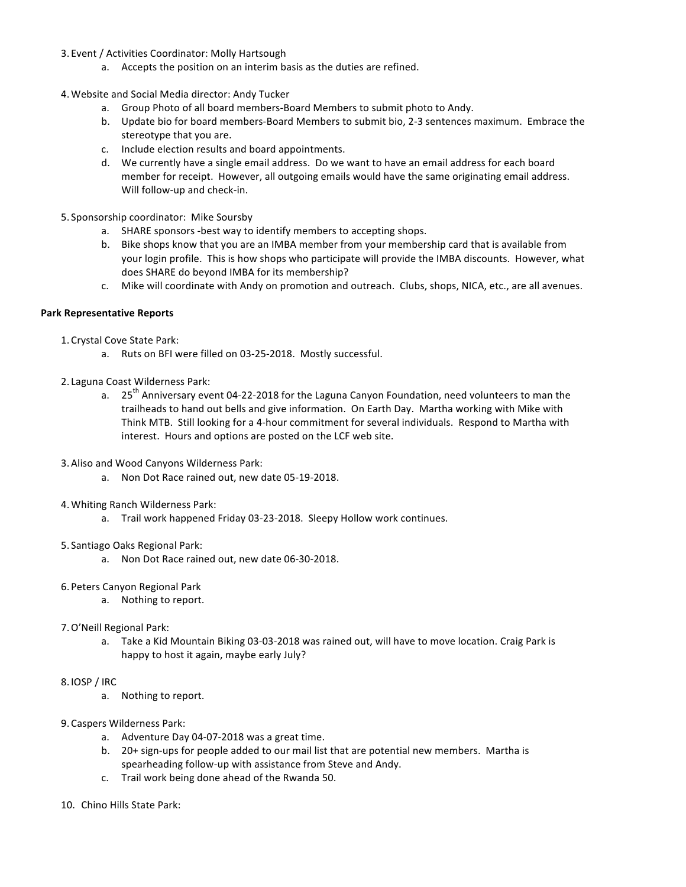- 3. Event / Activities Coordinator: Molly Hartsough
	- a. Accepts the position on an interim basis as the duties are refined.
- 4. Website and Social Media director: Andy Tucker
	- a. Group Photo of all board members-Board Members to submit photo to Andy.
	- b. Update bio for board members-Board Members to submit bio, 2-3 sentences maximum. Embrace the stereotype that you are.
	- c. Include election results and board appointments.
	- d. We currently have a single email address. Do we want to have an email address for each board member for receipt. However, all outgoing emails would have the same originating email address. Will follow-up and check-in.
- 5. Sponsorship coordinator: Mike Soursby
	- a. SHARE sponsors -best way to identify members to accepting shops.
	- b. Bike shops know that you are an IMBA member from your membership card that is available from your login profile. This is how shops who participate will provide the IMBA discounts. However, what does SHARE do beyond IMBA for its membership?
	- c. Mike will coordinate with Andy on promotion and outreach. Clubs, shops, NICA, etc., are all avenues.

### **Park Representative Reports**

- 1. Crystal Cove State Park:
	- a. Ruts on BFI were filled on 03-25-2018. Mostly successful.
- 2. Laguna Coast Wilderness Park:
	- a. 25<sup>th</sup> Anniversary event 04-22-2018 for the Laguna Canyon Foundation, need volunteers to man the trailheads to hand out bells and give information. On Earth Day. Martha working with Mike with Think MTB. Still looking for a 4-hour commitment for several individuals. Respond to Martha with interest. Hours and options are posted on the LCF web site.
- 3. Aliso and Wood Canyons Wilderness Park:
	- a. Non Dot Race rained out, new date 05-19-2018.
- 4. Whiting Ranch Wilderness Park:
	- a. Trail work happened Friday 03-23-2018. Sleepy Hollow work continues.
- 5. Santiago Oaks Regional Park:
	- a. Non Dot Race rained out, new date 06-30-2018.
- 6. Peters Canyon Regional Park
	- a. Nothing to report.
- 7. O'Neill Regional Park:
	- a. Take a Kid Mountain Biking 03-03-2018 was rained out, will have to move location. Craig Park is happy to host it again, maybe early July?
- 8. IOSP / IRC
	- a. Nothing to report.
- 9. Caspers Wilderness Park:
	- a. Adventure Day 04-07-2018 was a great time.
	- b. 20+ sign-ups for people added to our mail list that are potential new members. Martha is spearheading follow-up with assistance from Steve and Andy.
	- c. Trail work being done ahead of the Rwanda 50.
- 10. Chino Hills State Park: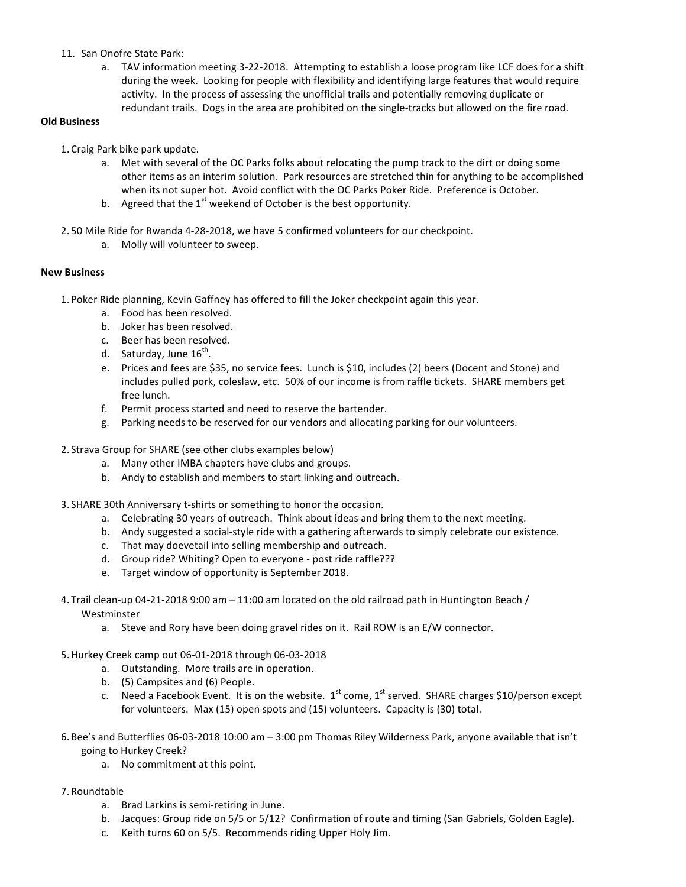- 11. San Onofre State Park:
	- a. TAV information meeting 3-22-2018. Attempting to establish a loose program like LCF does for a shift during the week. Looking for people with flexibility and identifying large features that would require activity. In the process of assessing the unofficial trails and potentially removing duplicate or redundant trails. Dogs in the area are prohibited on the single-tracks but allowed on the fire road.

### **Old Business**

- 1. Craig Park bike park update.
	- a. Met with several of the OC Parks folks about relocating the pump track to the dirt or doing some other items as an interim solution. Park resources are stretched thin for anything to be accomplished when its not super hot. Avoid conflict with the OC Parks Poker Ride. Preference is October.
	- b. Agreed that the  $1^{st}$  weekend of October is the best opportunity.
- 2. 50 Mile Ride for Rwanda 4-28-2018, we have 5 confirmed volunteers for our checkpoint.
	- a. Molly will volunteer to sweep.

### **New Business**

- 1. Poker Ride planning, Kevin Gaffney has offered to fill the Joker checkpoint again this year.
	- a. Food has been resolved.
	- b. Joker has been resolved.
	- c. Beer has been resolved.
	- d. Saturday, June  $16^{th}$ .
	- e. Prices and fees are \$35, no service fees. Lunch is \$10, includes (2) beers (Docent and Stone) and includes pulled pork, coleslaw, etc. 50% of our income is from raffle tickets. SHARE members get free lunch.
	- f. Permit process started and need to reserve the bartender.
	- g. Parking needs to be reserved for our vendors and allocating parking for our volunteers.
- 2. Strava Group for SHARE (see other clubs examples below)
	- a. Many other IMBA chapters have clubs and groups.
	- b. Andy to establish and members to start linking and outreach.
- 3. SHARE 30th Anniversary t-shirts or something to honor the occasion.
	- a. Celebrating 30 years of outreach. Think about ideas and bring them to the next meeting.
	- b. Andy suggested a social-style ride with a gathering afterwards to simply celebrate our existence.
	- c. That may doevetail into selling membership and outreach.
	- d. Group ride? Whiting? Open to everyone post ride raffle???
	- e. Target window of opportunity is September 2018.
- 4. Trail clean-up 04-21-2018 9:00 am 11:00 am located on the old railroad path in Huntington Beach / Westminster
	- a. Steve and Rory have been doing gravel rides on it. Rail ROW is an E/W connector.
- 5.Hurkey Creek camp out 06-01-2018 through 06-03-2018
	- a. Outstanding. More trails are in operation.
	- b. (5) Campsites and (6) People.
	- c. Need a Facebook Event. It is on the website.  $1^{st}$  come,  $1^{st}$  served. SHARE charges \$10/person except for volunteers. Max  $(15)$  open spots and  $(15)$  volunteers. Capacity is  $(30)$  total.
- 6. Bee's and Butterflies 06-03-2018 10:00 am 3:00 pm Thomas Riley Wilderness Park, anyone available that isn't going to Hurkey Creek?
	- a. No commitment at this point.
- 7. Roundtable
	- a. Brad Larkins is semi-retiring in June.
	- b. Jacques: Group ride on 5/5 or 5/12? Confirmation of route and timing (San Gabriels, Golden Eagle).
	- c. Keith turns 60 on 5/5. Recommends riding Upper Holy Jim.